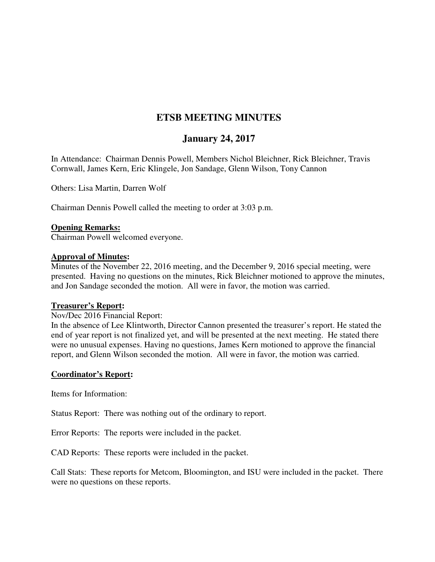# **ETSB MEETING MINUTES**

# **January 24, 2017**

In Attendance: Chairman Dennis Powell, Members Nichol Bleichner, Rick Bleichner, Travis Cornwall, James Kern, Eric Klingele, Jon Sandage, Glenn Wilson, Tony Cannon

Others: Lisa Martin, Darren Wolf

Chairman Dennis Powell called the meeting to order at 3:03 p.m.

#### **Opening Remarks:**

Chairman Powell welcomed everyone.

#### **Approval of Minutes:**

Minutes of the November 22, 2016 meeting, and the December 9, 2016 special meeting, were presented. Having no questions on the minutes, Rick Bleichner motioned to approve the minutes, and Jon Sandage seconded the motion. All were in favor, the motion was carried.

#### **Treasurer's Report:**

Nov/Dec 2016 Financial Report:

In the absence of Lee Klintworth, Director Cannon presented the treasurer's report. He stated the end of year report is not finalized yet, and will be presented at the next meeting. He stated there were no unusual expenses. Having no questions, James Kern motioned to approve the financial report, and Glenn Wilson seconded the motion. All were in favor, the motion was carried.

### **Coordinator's Report:**

Items for Information:

Status Report: There was nothing out of the ordinary to report.

Error Reports: The reports were included in the packet.

CAD Reports: These reports were included in the packet.

Call Stats: These reports for Metcom, Bloomington, and ISU were included in the packet. There were no questions on these reports.